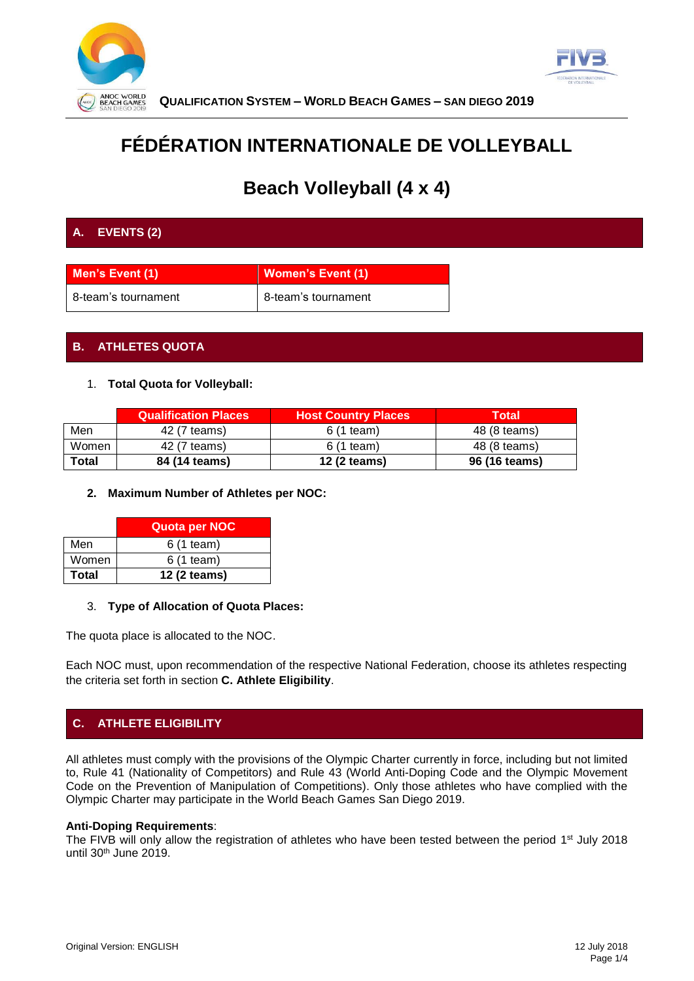



**QUALIFICATION SYSTEM – WORLD BEACH GAMES – SAN DIEGO 2019**

# **FÉDÉRATION INTERNATIONALE DE VOLLEYBALL**

# **Beach Volleyball (4 x 4)**

## **A. EVENTS (2)**

| Men's Event (1)     | <b>Women's Event (1)</b> |
|---------------------|--------------------------|
| 8-team's tournament | 8-team's tournament      |

## **B. ATHLETES QUOTA**

#### 1. **Total Quota for Volleyball:**

|       | <b>Qualification Places</b> | <b>Host Country Places</b> | <b>Total</b>  |
|-------|-----------------------------|----------------------------|---------------|
| Men   | 42 (7 teams)                | $6(1$ team)                | 48 (8 teams)  |
| Women | 42 (7 teams)                | 6 (1 team)                 | 48 (8 teams)  |
| Total | 84 (14 teams)               | 12 (2 teams)               | 96 (16 teams) |

#### **2. Maximum Number of Athletes per NOC:**

|              | <b>Quota per NOC</b> |
|--------------|----------------------|
| Men          | 6 (1 team)           |
| Women        | 6 (1 team)           |
| <b>Total</b> | 12 (2 teams)         |

#### 3. **Type of Allocation of Quota Places:**

The quota place is allocated to the NOC.

Each NOC must, upon recommendation of the respective National Federation, choose its athletes respecting the criteria set forth in section **C. Athlete Eligibility**.

## **C. ATHLETE ELIGIBILITY**

All athletes must comply with the provisions of the Olympic Charter currently in force, including but not limited to, Rule 41 (Nationality of Competitors) and Rule 43 (World Anti-Doping Code and the Olympic Movement Code on the Prevention of Manipulation of Competitions). Only those athletes who have complied with the Olympic Charter may participate in the World Beach Games San Diego 2019.

#### **Anti-Doping Requirements**:

The FIVB will only allow the registration of athletes who have been tested between the period 1<sup>st</sup> July 2018 until 30th June 2019.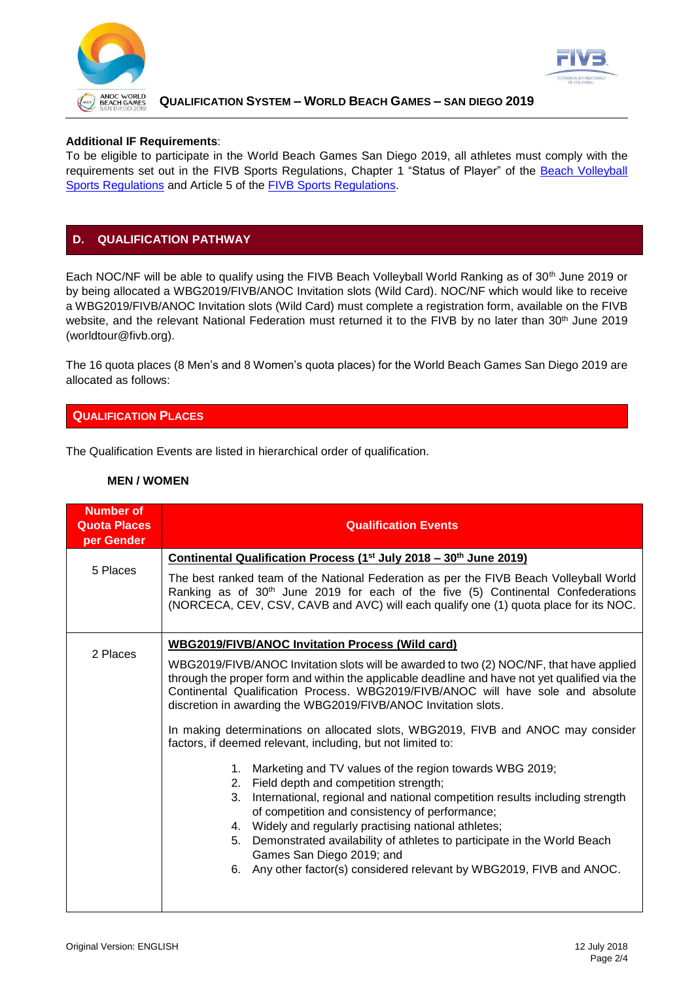



#### **QUALIFICATION SYSTEM – WORLD BEACH GAMES – SAN DIEGO 2019**

#### **Additional IF Requirements**:

To be eligible to participate in the World Beach Games San Diego 2019, all athletes must comply with the requirements set out in the FIVB Sports Regulations, Chapter 1 "Status of Player" of the Beach Volleyball [Sports Regulations](http://www.fivb.org/EN/BeachVolleyball/Document/2018/2018_FIVB_BVB_Sports_Regulations_V1.9.16.04.2018.pdf) and Article 5 of the [FIVB Sports Regulations.](http://www.fivb.org/EN/FIVB/Document/Legal/FIVB_Sports_Regulations_2017_20170711.pdf)

### **D. QUALIFICATION PATHWAY**

Each NOC/NF will be able to qualify using the FIVB Beach Volleyball World Ranking as of 30<sup>th</sup> June 2019 or by being allocated a WBG2019/FIVB/ANOC Invitation slots (Wild Card). NOC/NF which would like to receive a WBG2019/FIVB/ANOC Invitation slots (Wild Card) must complete a registration form, available on the FIVB website, and the relevant National Federation must returned it to the FIVB by no later than 30<sup>th</sup> June 2019 (worldtour@fivb.org).

The 16 quota places (8 Men's and 8 Women's quota places) for the World Beach Games San Diego 2019 are allocated as follows:

#### **QUALIFICATION PLACES**

The Qualification Events are listed in hierarchical order of qualification.

#### **MEN / WOMEN**

| <b>Number of</b><br><b>Quota Places</b><br>per Gender | <b>Qualification Events</b>                                                                                                                                                                                                                                                                                                                                                                                                                                                                       |  |  |
|-------------------------------------------------------|---------------------------------------------------------------------------------------------------------------------------------------------------------------------------------------------------------------------------------------------------------------------------------------------------------------------------------------------------------------------------------------------------------------------------------------------------------------------------------------------------|--|--|
|                                                       | Continental Qualification Process (1 <sup>st</sup> July 2018 – 30 <sup>th</sup> June 2019)                                                                                                                                                                                                                                                                                                                                                                                                        |  |  |
| 5 Places                                              | The best ranked team of the National Federation as per the FIVB Beach Volleyball World<br>Ranking as of 30 <sup>th</sup> June 2019 for each of the five (5) Continental Confederations<br>(NORCECA, CEV, CSV, CAVB and AVC) will each qualify one (1) quota place for its NOC.                                                                                                                                                                                                                    |  |  |
| 2 Places                                              | <b>WBG2019/FIVB/ANOC Invitation Process (Wild card)</b>                                                                                                                                                                                                                                                                                                                                                                                                                                           |  |  |
|                                                       | WBG2019/FIVB/ANOC Invitation slots will be awarded to two (2) NOC/NF, that have applied<br>through the proper form and within the applicable deadline and have not yet qualified via the<br>Continental Qualification Process. WBG2019/FIVB/ANOC will have sole and absolute<br>discretion in awarding the WBG2019/FIVB/ANOC Invitation slots.<br>In making determinations on allocated slots, WBG2019, FIVB and ANOC may consider<br>factors, if deemed relevant, including, but not limited to: |  |  |
|                                                       |                                                                                                                                                                                                                                                                                                                                                                                                                                                                                                   |  |  |
|                                                       | Marketing and TV values of the region towards WBG 2019;<br>1.                                                                                                                                                                                                                                                                                                                                                                                                                                     |  |  |
|                                                       | Field depth and competition strength;<br>2.                                                                                                                                                                                                                                                                                                                                                                                                                                                       |  |  |
|                                                       | International, regional and national competition results including strength<br>3.<br>of competition and consistency of performance;                                                                                                                                                                                                                                                                                                                                                               |  |  |
|                                                       | Widely and regularly practising national athletes;<br>4.                                                                                                                                                                                                                                                                                                                                                                                                                                          |  |  |
|                                                       | Demonstrated availability of athletes to participate in the World Beach<br>5.<br>Games San Diego 2019; and                                                                                                                                                                                                                                                                                                                                                                                        |  |  |
|                                                       | Any other factor(s) considered relevant by WBG2019, FIVB and ANOC.<br>6.                                                                                                                                                                                                                                                                                                                                                                                                                          |  |  |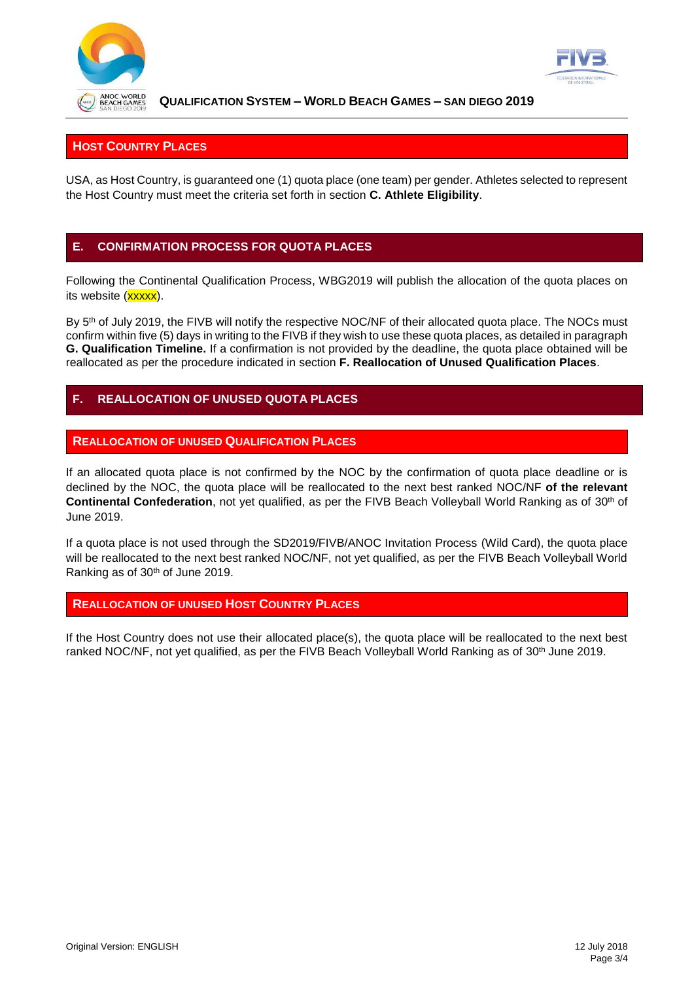



**QUALIFICATION SYSTEM – WORLD BEACH GAMES – SAN DIEGO 2019**

## **HOST COUNTRY PLACES**

USA, as Host Country, is guaranteed one (1) quota place (one team) per gender. Athletes selected to represent the Host Country must meet the criteria set forth in section **C. Athlete Eligibility**.

## **E. CONFIRMATION PROCESS FOR QUOTA PLACES**

Following the Continental Qualification Process, WBG2019 will publish the allocation of the quota places on its website (xxxxx).

By 5<sup>th</sup> of July 2019, the FIVB will notify the respective NOC/NF of their allocated quota place. The NOCs must confirm within five (5) days in writing to the FIVB if they wish to use these quota places, as detailed in paragraph **G. Qualification Timeline.** If a confirmation is not provided by the deadline, the quota place obtained will be reallocated as per the procedure indicated in section **F. Reallocation of Unused Qualification Places**.

## **F. REALLOCATION OF UNUSED QUOTA PLACES**

#### **REALLOCATION OF UNUSED QUALIFICATION PLACES**

If an allocated quota place is not confirmed by the NOC by the confirmation of quota place deadline or is declined by the NOC, the quota place will be reallocated to the next best ranked NOC/NF **of the relevant Continental Confederation**, not yet qualified, as per the FIVB Beach Volleyball World Ranking as of 30th of June 2019.

If a quota place is not used through the SD2019/FIVB/ANOC Invitation Process (Wild Card), the quota place will be reallocated to the next best ranked NOC/NF, not yet qualified, as per the FIVB Beach Volleyball World Ranking as of 30th of June 2019.

#### **REALLOCATION OF UNUSED HOST COUNTRY PLACES**

If the Host Country does not use their allocated place(s), the quota place will be reallocated to the next best ranked NOC/NF, not yet qualified, as per the FIVB Beach Volleyball World Ranking as of 30<sup>th</sup> June 2019.